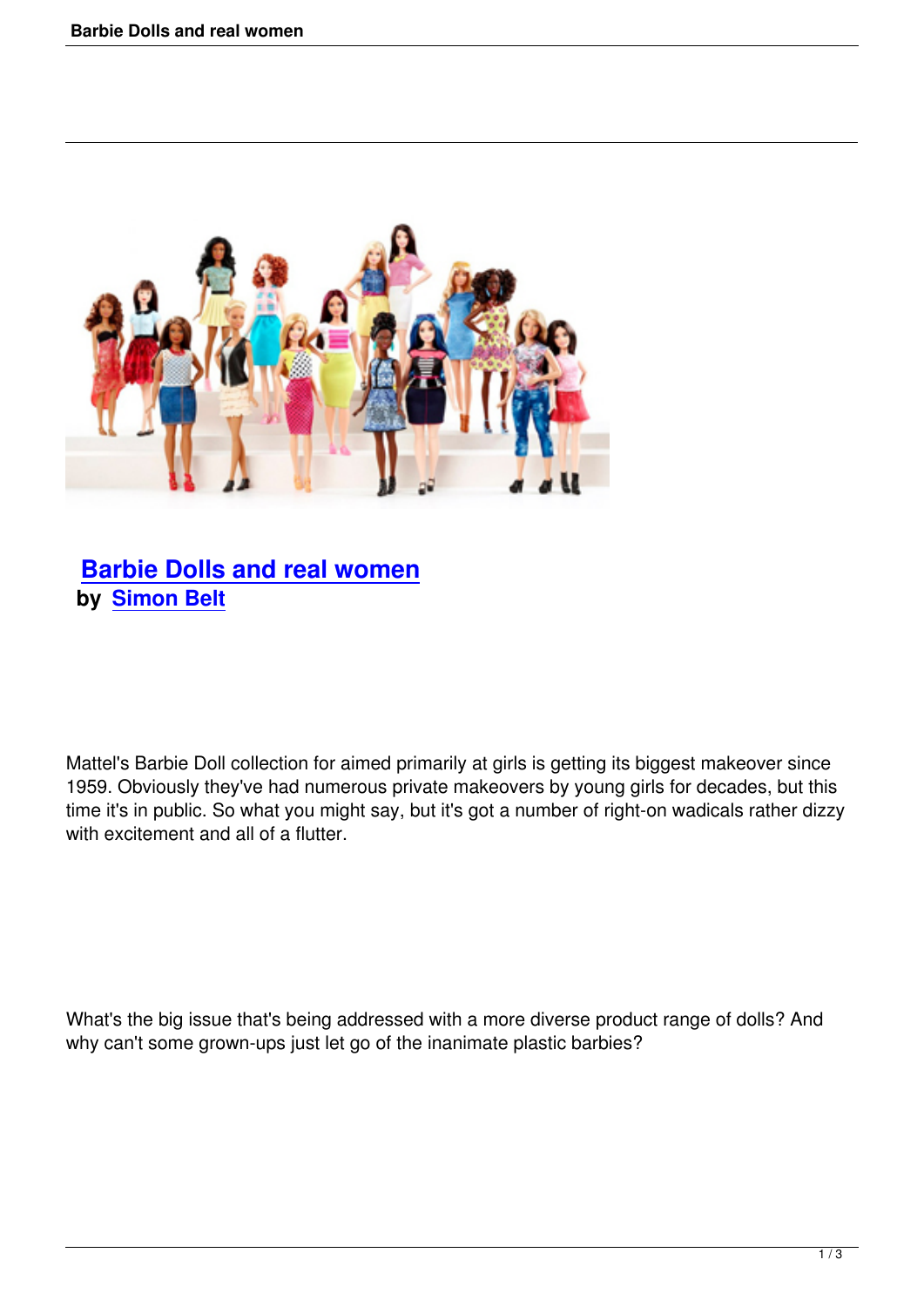

## **Barbie Dolls and real women by Simon Belt**

Mattel's Barbie Doll collection for aimed primarily at girls is getting its biggest makeover since 1959. Obviously they've had numerous private makeovers by young girls for decades, but this time it's in public. So what you might say, but it's got a number of right-on wadicals rather dizzy with excitement and all of a flutter.

What's the big issue that's being addressed with a more diverse product range of dolls? And why can't some grown-ups just let go of the inanimate plastic barbies?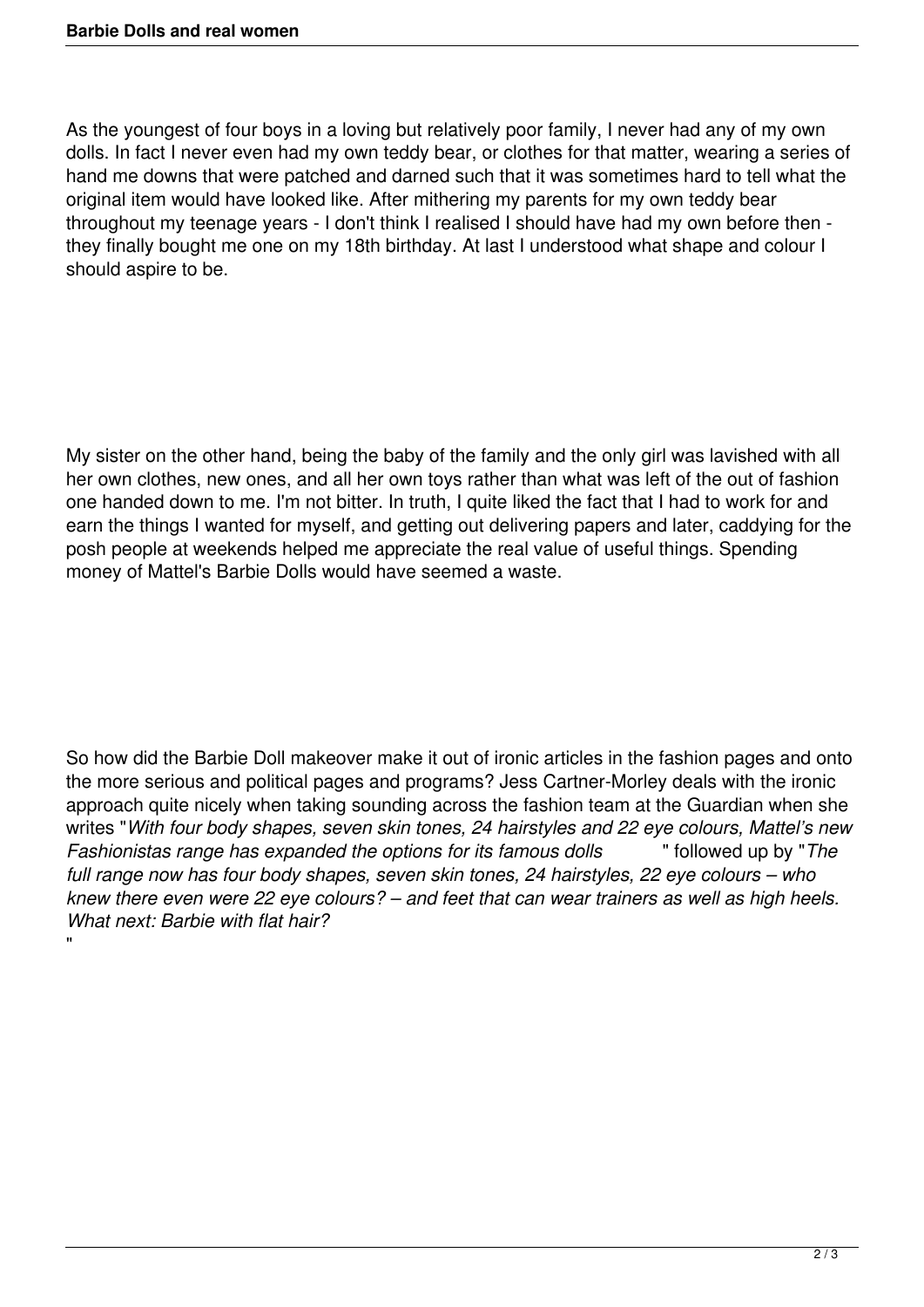"

As the youngest of four boys in a loving but relatively poor family, I never had any of my own dolls. In fact I never even had my own teddy bear, or clothes for that matter, wearing a series of hand me downs that were patched and darned such that it was sometimes hard to tell what the original item would have looked like. After mithering my parents for my own teddy bear throughout my teenage years - I don't think I realised I should have had my own before then they finally bought me one on my 18th birthday. At last I understood what shape and colour I should aspire to be.

My sister on the other hand, being the baby of the family and the only girl was lavished with all her own clothes, new ones, and all her own toys rather than what was left of the out of fashion one handed down to me. I'm not bitter. In truth, I quite liked the fact that I had to work for and earn the things I wanted for myself, and getting out delivering papers and later, caddying for the posh people at weekends helped me appreciate the real value of useful things. Spending money of Mattel's Barbie Dolls would have seemed a waste.

So how did the Barbie Doll makeover make it out of ironic articles in the fashion pages and onto the more serious and political pages and programs? Jess Cartner-Morley deals with the ironic approach quite nicely when taking sounding across the fashion team at the Guardian when she writes "*With four body shapes, seven skin tones, 24 hairstyles and 22 eye colours, Mattel's new Fashionistas range has expanded the options for its famous dolls* " followed up by "*The full range now has four body shapes, seven skin tones, 24 hairstyles, 22 eye colours – who knew there even were 22 eye colours? – and feet that can wear trainers as well as high heels. What next: Barbie with flat hair?*